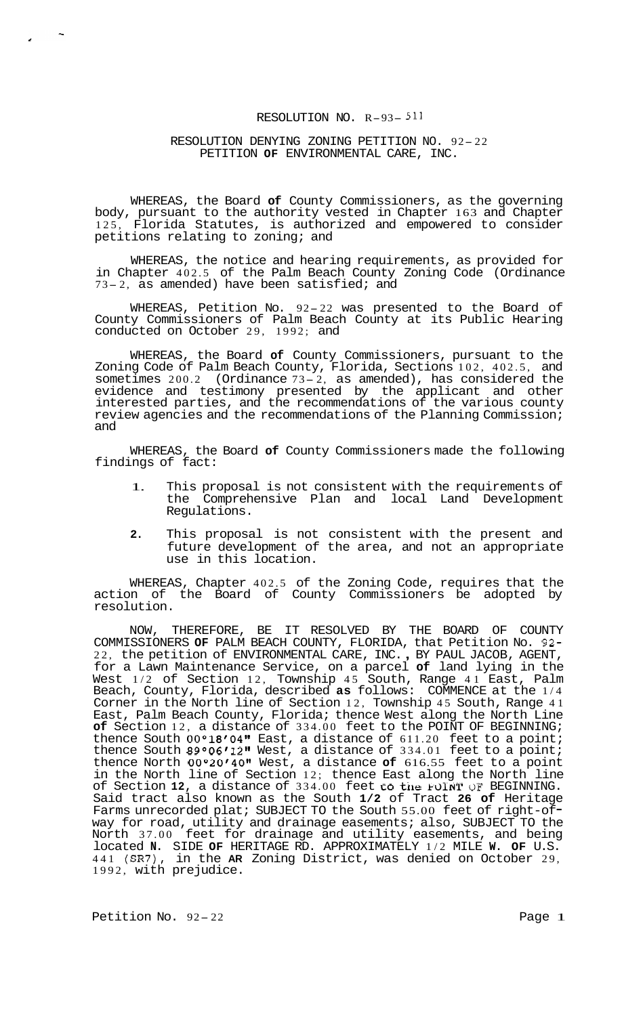## RESOLUTION NO. R-93- 511

## RESOLUTION DENYING ZONING PETITION NO. 92- <sup>22</sup> PETITION **OF** ENVIRONMENTAL CARE, INC.

WHEREAS, the Board **of** County Commissioners, as the governing body, pursuant to the authority vested in Chapter 163 and Chapter 125, Florida Statutes, is authorized and empowered to consider petitions relating to zoning; and

WHEREAS, the notice and hearing requirements, as provided for in Chapter 402.5 of the Palm Beach County Zoning Code (Ordinance 73- 2, as amended) have been satisfied; and

WHEREAS, Petition No. 92-22 was presented to the Board of County Commissioners of Palm Beach County at its Public Hearing conducted on October 29, 1992; and

WHEREAS, the Board **of** County Commissioners, pursuant to the Zoning Code of Palm Beach County, Florida, Sections 102, 402.5, and sometimes 200.2 (Ordinance 73- 2, as amended), has considered the evidence and testimony presented by the applicant and other interested parties, and the recommendations of the various county review agencies and the recommendations of the Planning Commission; and

WHEREAS, the Board **of** County Commissioners made the following findings of fact:

- 1. This proposal is not consistent with the requirements of the Comprehensive Plan and local Land Development Regulations.
- **2.** This proposal is not consistent with the present and future development of the area, and not an appropriate use in this location.

WHEREAS, Chapter 402.5 of the Zoning Code, requires that the action of the Board of County Commissioners be adopted by resolution.

NOW, THEREFORE, BE IT RESOLVED BY THE BOARD OF COUNTY COMMISSIONERS **OF** PALM BEACH COUNTY, FLORIDA, that Petition No. 92- COMMISSIONERS **OF** PALM BEACH COUNTY, FLORIDA, that Petition No. 92-<br>22, the petition of ENVIRONMENTAL CARE, INC., BY PAUL JACOB, AGENT, for a Lawn Maintenance Service, on a parcel **of** land lying in the West 1/2 of Section 12, Township 45 South, Range 41 East, Palm Beach, County, Florida, described **as** follows: COMMENCE at the 1/4 Corner in the North line of Section 12, Township 45 South, Range 41 East, Palm Beach County, Florida; thence West along the North Line **of** Section 12, a distance of 334.00 feet to the POINT OF BEGINNING; thence South  $00^{\circ}18'04"$  East, a distance of  $611.20$  feet to a point; thence South  $89^{\circ}06'12$ " West, a distance of  $334.01$  feet to a point; thence North 00°20'4011 West, a distance **of** 616.55 feet to a point in the North line of Section 12; thence East along the North line of Section 12, a distance of 334.00 feet to the FOINT OF BEGINNING. Said tract also known as the South 1/2 of Tract 26 of Heritage Farms unrecorded plat; SUBJECT TO the South 55.00 feet of right-ofway for road, utility and drainage easements; also, SUBJECT TO the North 37.00 feet for drainage and utility easements, and being located **N.** SIDE **OF** HERITAGE RD. APPROXIMATELY 1/2 MILE **W. OF** U.S. 441 (SR7), in the **AR** Zoning District, was denied on October 29, 1992, with prejudice.

Petition No.  $92-22$